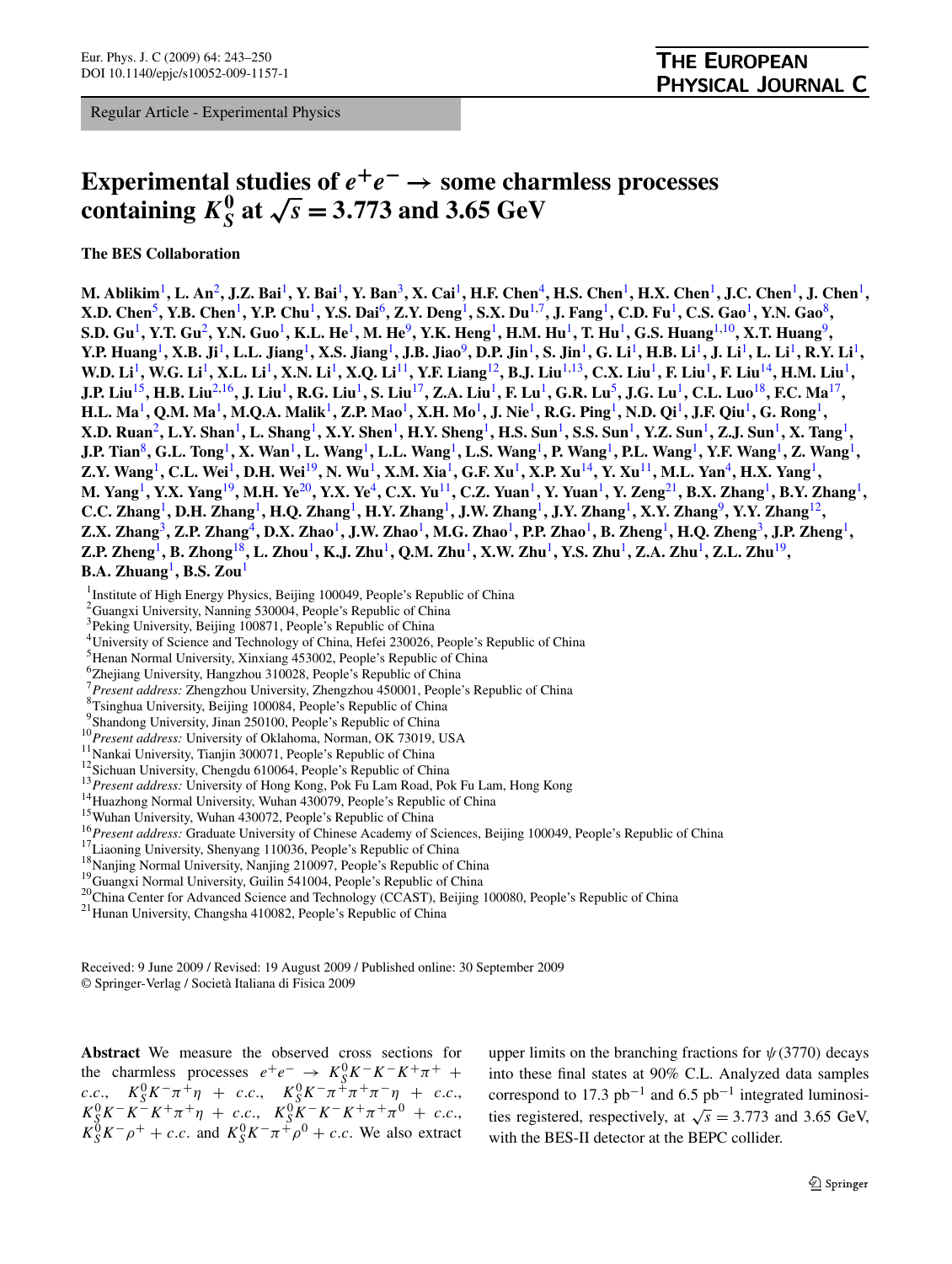Regular Article - Experimental Physics

# **Experimental studies of**  $e^+e^- \rightarrow$  **some charmless processes containing**  $K_S^0$  at  $\sqrt{s} = 3.773$  and 3.65 GeV

**The BES Collaboration**

**M. Ablikim**1**, L. An**2**, J.Z. Bai**1**, Y. Bai**1**, Y. Ban**3**, X. Cai**1**, H.F. Chen**4**, H.S. Chen**1**, H.X. Chen**1**, J.C. Chen**1**, J. Chen**1**, X.D. Chen**5**, Y.B. Chen**1**, Y.P. Chu**1**, Y.S. Dai**6**, Z.Y. Deng**1**, S.X. Du**1,7**, J. Fang**1**, C.D. Fu**1**, C.S. Gao**1**, Y.N. Gao**8**, S.D. Gu**1**, Y.T. Gu**2**, Y.N. Guo**1**, K.L. He**1**, M. He**9**, Y.K. Heng**1**, H.M. Hu**1**, T. Hu**1**, G.S. Huang**1,10**, X.T. Huang**9**, Y.P. Huang**1**, X.B. Ji**1**, L.L. Jiang**1**, X.S. Jiang**1**, J.B. Jiao**9**, D.P. Jin**1**, S. Jin**1**, G. Li**1**, H.B. Li**1**, J. Li**1**, L. Li**1**, R.Y. Li**1**, W.D. Li**1**, W.G. Li**1**, X.L. Li**1**, X.N. Li**1**, X.Q. Li**11**, Y.F. Liang**12**, B.J. Liu**1,13**, C.X. Liu**1**, F. Liu**1**, F. Liu**14**, H.M. Liu**1**, J.P. Liu**15**, H.B. Liu**2,16**, J. Liu**1**, R.G. Liu**1**, S. Liu**17**, Z.A. Liu**1**, F. Lu**1**, G.R. Lu**5**, J.G. Lu**1**, C.L. Luo**18**, F.C. Ma**17**, H.L. Ma**1**, Q.M. Ma**1**, M.Q.A. Malik**1**, Z.P. Mao**1**, X.H. Mo**1**, J. Nie**1**, R.G. Ping**1**, N.D. Qi**1**, J.F. Qiu**1**, G. Rong**1**, X.D. Ruan**2**, L.Y. Shan**1**, L. Shang**1**, X.Y. Shen**1**, H.Y. Sheng**1**, H.S. Sun**1**, S.S. Sun**1**, Y.Z. Sun**1**, Z.J. Sun**1**, X. Tang**1**, J.P. Tian**8**, G.L. Tong**1**, X. Wan**1**, L. Wang**1**, L.L. Wang**1**, L.S. Wang**1**, P. Wang**1**, P.L. Wang**1**, Y.F. Wang**1**, Z. Wang**1**, Z.Y. Wang**1**, C.L. Wei**1**, D.H. Wei**19**, N. Wu**1**, X.M. Xia**1**, G.F. Xu**1**, X.P. Xu**14**, Y. Xu**11**, M.L. Yan**4**, H.X. Yang**1**, M. Yang**1**, Y.X. Yang**19**, M.H. Ye**20**, Y.X. Ye**4**, C.X. Yu**11**, C.Z. Yuan**1**, Y. Yuan**1**, Y. Zeng**21**, B.X. Zhang**1**, B.Y. Zhang**1**, C.C. Zhang**1**, D.H. Zhang**1**, H.Q. Zhang**1**, H.Y. Zhang**1**, J.W. Zhang**1**, J.Y. Zhang**1**, X.Y. Zhang**9**, Y.Y. Zhang**12**, Z.X. Zhang**3**, Z.P. Zhang**4**, D.X. Zhao**1**, J.W. Zhao**1**, M.G. Zhao**1**, P.P. Zhao**1**, B. Zheng**1**, H.Q. Zheng**3**, J.P. Zheng**1**, Z.P. Zheng**1**, B. Zhong**18**, L. Zhou**1**, K.J. Zhu**1**, Q.M. Zhu**1**, X.W. Zhu**1**, Y.S. Zhu**1**, Z.A. Zhu**1**, Z.L. Zhu**19**, B.A. Zhuang**1**, B.S. Zou**<sup>1</sup>

<sup>1</sup> Institute of High Energy Physics, Beijing 100049, People's Republic of China

2 Guangxi University, Nanning 530004, People's Republic of China

<sup>3</sup>Peking University, Beijing 100871, People's Republic of China

<sup>4</sup>University of Science and Technology of China, Hefei 230026, People's Republic of China

<sup>5</sup>Henan Normal University, Xinxiang 453002, People's Republic of China

6 Zhejiang University, Hangzhou 310028, People's Republic of China

<sup>7</sup> Present address: Zhengzhou University, Zhengzhou 450001, People's Republic of China<br><sup>8</sup> Teinghua University, Boijing 100084, People's Pepublic of China

 ${}^{8}$ Tsinghua University, Beijing 100084, People's Republic of China

<sup>9</sup> Shandong University, Jinan 250100, People's Republic of China

<sup>9</sup>Shandong University, Jinan 250100, People's Republic of China<br>
<sup>10</sup> *Present address:* University of Oklahoma, Norman, OK 73019, USA<br>
<sup>11</sup> Nankai University, Tianjin 300071, People's Republic of China<br>
<sup>12</sup> Sichuan Univ

Received: 9 June 2009 / Revised: 19 August 2009 / Published online: 30 September 2009 © Springer-Verlag / Società Italiana di Fisica 2009

**Abstract** We measure the observed cross sections for the charmless processes  $e^+e^- \rightarrow K_S^0 K^- K^- K^+ \pi^+$  $K_S^0 K^- \pi^+ \eta$  + *c.c.*,  $K_S^0 K^- \pi^+ \pi^+ \pi^- \eta$  + *c.c.*,  $K_S^0 K^- K^- K^+ \pi^+ \eta$  + *c.c.*,  $K_S^0 K^- K^- K^+ \pi^+ \pi^0$  + *c.c.*,  $K_S^0 K^- \rho^+ + c.c.$  and  $K_S^0 K^- \pi^+ \rho^0 + c.c.$  We also extract

upper limits on the branching fractions for  $\psi$ (3770) decays into these final states at 90% C.L. Analyzed data samples correspond to 17.3  $pb^{-1}$  and 6.5  $pb^{-1}$  integrated luminosities registered, respectively, at  $\sqrt{s} = 3.773$  and 3.65 GeV, with the BES-II detector at the BEPC collider.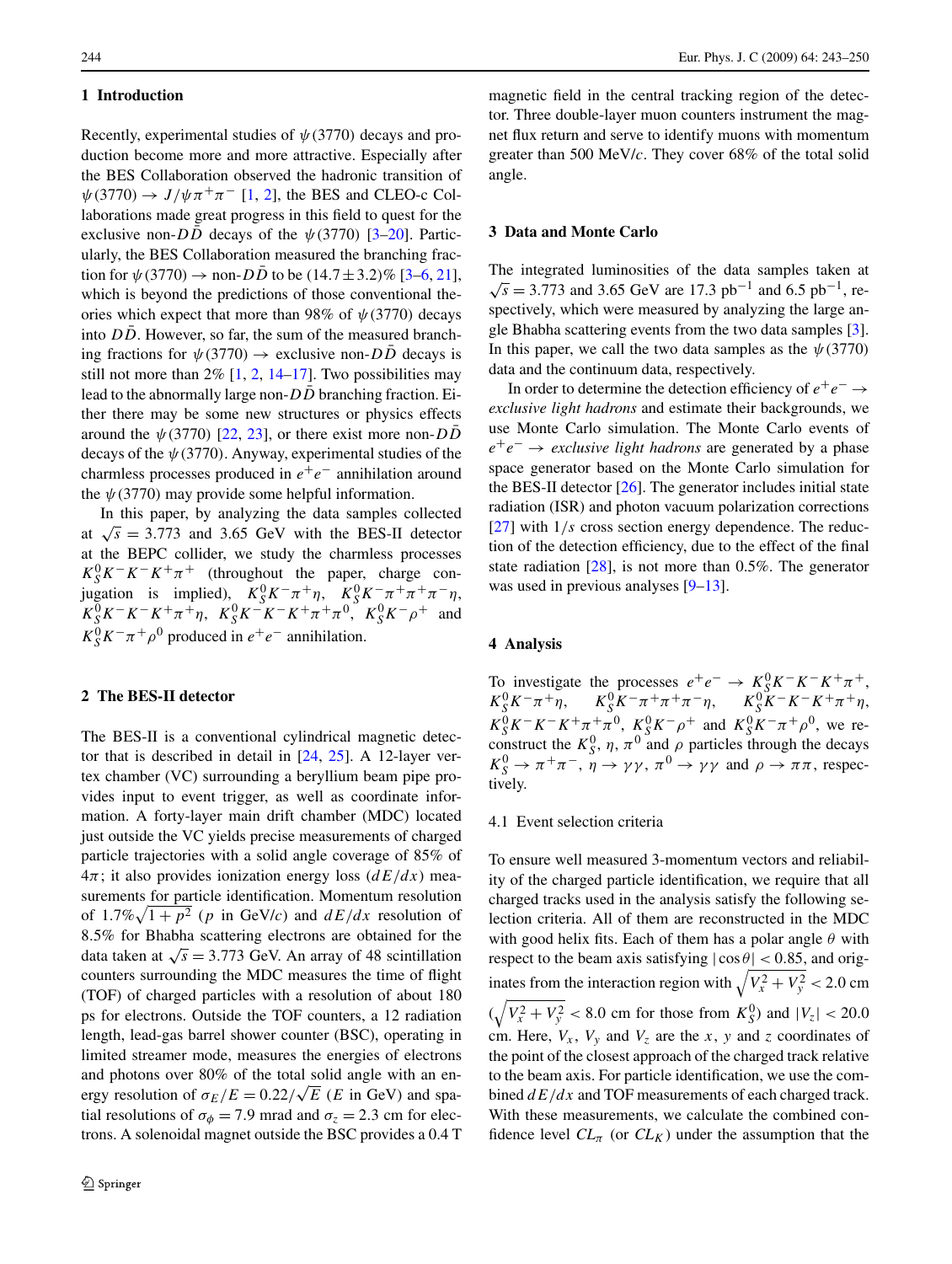## **1 Introduction**

Recently, experimental studies of *ψ(*3770*)* decays and production become more and more attractive. Especially after the BES Collaboration observed the hadronic transition of  $\psi$ (3770)  $\rightarrow$  *J*/ $\psi \pi^{+} \pi^{-}$  [\[1](#page-6-0), [2](#page-6-0)], the BES and CLEO-c Collaborations made great progress in this field to quest for the exclusive non- $D\overline{D}$  decays of the  $\psi$ (3770) [[3–](#page-6-0)[20\]](#page-7-0). Particularly, the BES Collaboration measured the branching fraction for  $\psi(3770) \to \text{non-}D\bar{D}$  to be  $(14.7 \pm 3.2)\%$  [[3–6,](#page-6-0) [21](#page-7-0)], which is beyond the predictions of those conventional theories which expect that more than 98% of *ψ(*3770*)* decays into *DD*. However, so far, the sum of the measured branching fractions for  $\psi(3770) \rightarrow$  exclusive non-*DD* decays is still not more than  $2\%$  $2\%$  [[1,](#page-6-0) 2, [14–17](#page-7-0)]. Two possibilities may lead to the abnormally large non-*DD* branching fraction. Either there may be some new structures or physics effects around the  $\psi$ (3770) [\[22](#page-7-0), [23\]](#page-7-0), or there exist more non-*DD* decays of the *ψ(*3770*)*. Anyway, experimental studies of the charmless processes produced in *e*+*e*<sup>−</sup> annihilation around the  $\psi$ (3770) may provide some helpful information.

In this paper, by analyzing the data samples collected at  $\sqrt{s}$  = 3.773 and 3.65 GeV with the BES-II detector at the BEPC collider, we study the charmless processes  $K_S^0 K^- K^- K^+ \pi^+$  (throughout the paper, charge con- $\int K_S^0 K^- \pi^+ \eta$ ,  $K_S^0 K^- \pi^+ \pi^+ \pi^- \eta$ ,  $K_S^0 K^- K^- K^+ \pi^+ \eta$ ,  $K_S^0 K^- K^- K^+ \pi^+ \pi^0$ ,  $K_S^0 K^- \rho^+$  and  $K_S^0 K^- \pi^+ \rho^0$  produced in  $e^+ e^-$  annihilation.

# **2 The BES-II detector**

The BES-II is a conventional cylindrical magnetic detector that is described in detail in [\[24](#page-7-0), [25\]](#page-7-0). A 12-layer vertex chamber (VC) surrounding a beryllium beam pipe provides input to event trigger, as well as coordinate information. A forty-layer main drift chamber (MDC) located just outside the VC yields precise measurements of charged particle trajectories with a solid angle coverage of 85% of 4*π*; it also provides ionization energy loss (*dE/dx*) measurements for particle identification. Momentum resolution of  $1.7\% \sqrt{1+p^2}$  (*p* in GeV/*c*) and  $dE/dx$  resolution of 8*.*5% for Bhabha scattering electrons are obtained for the data taken at  $\sqrt{s}$  = 3.773 GeV. An array of 48 scintillation counters surrounding the MDC measures the time of flight (TOF) of charged particles with a resolution of about 180 ps for electrons. Outside the TOF counters, a 12 radiation length, lead-gas barrel shower counter (BSC), operating in limited streamer mode, measures the energies of electrons and photons over 80% of the total solid angle with an energy resolution of  $\sigma_E/E = 0.22/\sqrt{E}$  (*E* in GeV) and spatial resolutions of  $\sigma_{\phi} = 7.9$  mrad and  $\sigma_{z} = 2.3$  cm for electrons. A solenoidal magnet outside the BSC provides a 0.4 T

magnetic field in the central tracking region of the detector. Three double-layer muon counters instrument the magnet flux return and serve to identify muons with momentum greater than 500 MeV/*c*. They cover 68% of the total solid angle.

#### **3 Data and Monte Carlo**

The integrated luminosities of the data samples taken at  $\sqrt{s}$  = 3.773 and 3.65 GeV are 17.3 pb<sup>-1</sup> and 6.5 pb<sup>-1</sup>, respectively, which were measured by analyzing the large angle Bhabha scattering events from the two data samples [\[3](#page-6-0)]. In this paper, we call the two data samples as the  $\psi$ (3770*)* data and the continuum data, respectively.

In order to determine the detection efficiency of *e*+*e*<sup>−</sup> → *exclusive light hadrons* and estimate their backgrounds, we use Monte Carlo simulation. The Monte Carlo events of *e*+*e*<sup>−</sup> → *exclusive light hadrons* are generated by a phase space generator based on the Monte Carlo simulation for the BES-II detector  $[26]$  $[26]$ . The generator includes initial state radiation (ISR) and photon vacuum polarization corrections [\[27](#page-7-0)] with  $1/s$  cross section energy dependence. The reduction of the detection efficiency, due to the effect of the final state radiation [[28\]](#page-7-0), is not more than 0.5%. The generator was used in previous analyses [[9–](#page-6-0)[13\]](#page-7-0).

## **4 Analysis**

To investigate the processes  $e^+e^- \rightarrow K_S^0 K^- K^- K^+ \pi^+$ ,  $K_S^0 K^- \pi^+ \eta$ ,  $K_S^0 K^- \pi^+ \pi^+ \pi^- \eta$ ,  $K_S^0 K^- K^- K^+ \pi^+ \eta$ ,  $K_S^0 K^- K^- K^+ \pi^+ \pi^0$ ,  $K_S^0 K^- \rho^+$  and  $K_S^0 K^- \pi^+ \rho^0$ , we reconstruct the  $K_S^0$ ,  $\eta$ ,  $\pi^0$  and  $\rho$  particles through the decays  $K_S^0 \to \pi^+\pi^-$ ,  $\eta \to \gamma\gamma$ ,  $\pi^0 \to \gamma\gamma$  and  $\rho \to \pi\pi$ , respectively.

### 4.1 Event selection criteria

To ensure well measured 3-momentum vectors and reliability of the charged particle identification, we require that all charged tracks used in the analysis satisfy the following selection criteria. All of them are reconstructed in the MDC with good helix fits. Each of them has a polar angle *θ* with respect to the beam axis satisfying  $|\cos \theta|$  < 0.85, and originates from the interaction region with  $\sqrt{V_x^2 + V_y^2}$  < 2.0 cm  $(\sqrt{V_x^2 + V_y^2} < 8.0 \text{ cm} \text{ for those from } K_S^0) \text{ and } |V_z| < 20.0$ cm. Here,  $V_x$ ,  $V_y$  and  $V_z$  are the *x*, *y* and *z* coordinates of the point of the closest approach of the charged track relative to the beam axis. For particle identification, we use the combined  $dE/dx$  and TOF measurements of each charged track. With these measurements, we calculate the combined confidence level  $CL_{\pi}$  (or  $CL_K$ ) under the assumption that the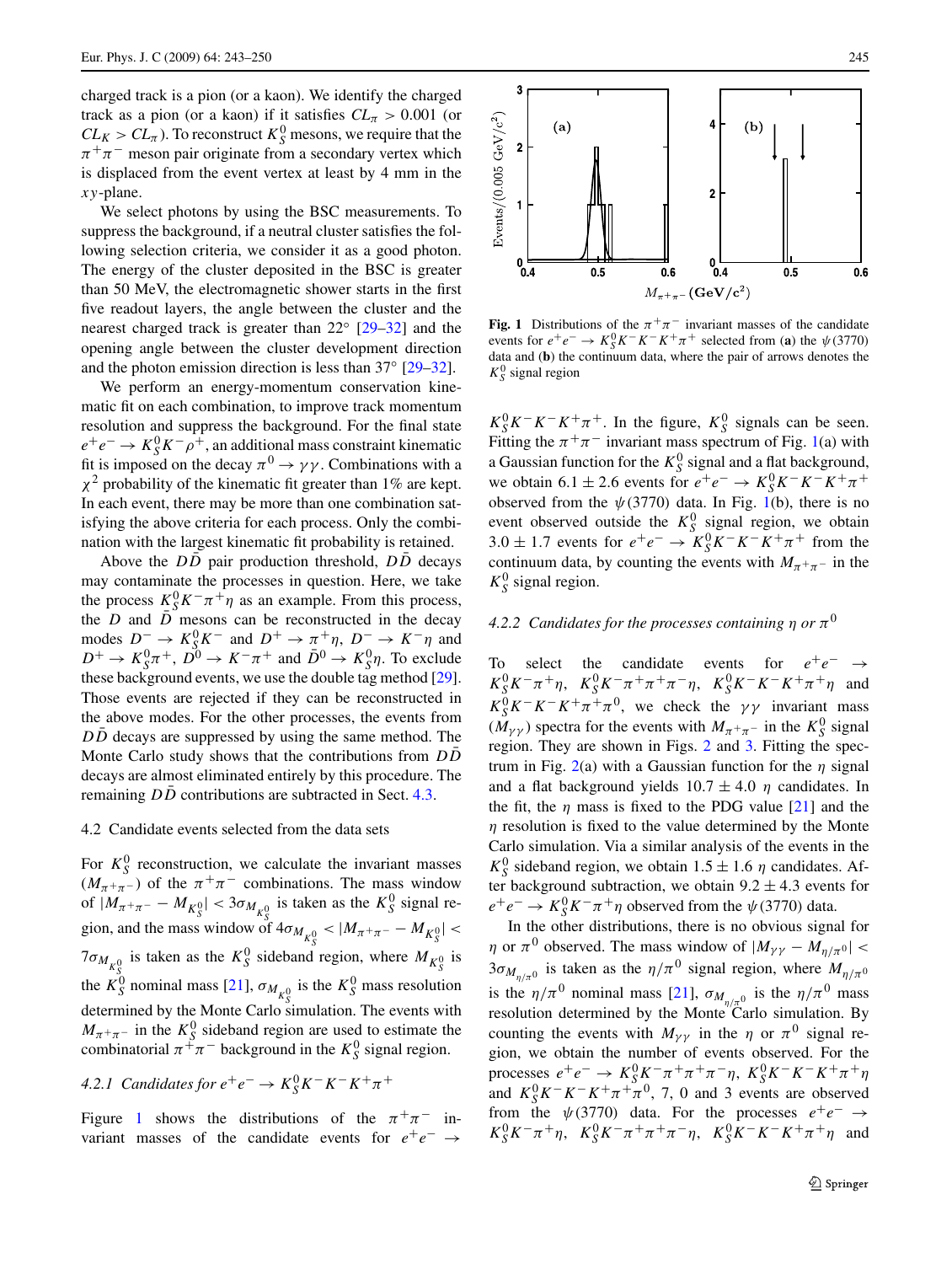charged track is a pion (or a kaon). We identify the charged track as a pion (or a kaon) if it satisfies  $CL_\pi > 0.001$  (or  $CL_K > CL_\pi$ ). To reconstruct  $K_S^0$  mesons, we require that the  $\pi^{+}\pi^{-}$  meson pair originate from a secondary vertex which is displaced from the event vertex at least by 4 mm in the *xy*-plane.

We select photons by using the BSC measurements. To suppress the background, if a neutral cluster satisfies the following selection criteria, we consider it as a good photon. The energy of the cluster deposited in the BSC is greater than 50 MeV, the electromagnetic shower starts in the first five readout layers, the angle between the cluster and the nearest charged track is greater than 22◦ [\[29–32](#page-7-0)] and the opening angle between the cluster development direction and the photon emission direction is less than 37◦ [[29–32\]](#page-7-0).

We perform an energy-momentum conservation kinematic fit on each combination, to improve track momentum resolution and suppress the background. For the final state  $e^+e^- \rightarrow K_S^0 K^-\rho^+$ , an additional mass constraint kinematic fit is imposed on the decay  $\pi^0 \to \gamma \gamma$ . Combinations with a *χ*<sup>2</sup> probability of the kinematic fit greater than 1% are kept. In each event, there may be more than one combination satisfying the above criteria for each process. Only the combination with the largest kinematic fit probability is retained.

Above the  $D\overline{D}$  pair production threshold,  $D\overline{D}$  decays may contaminate the processes in question. Here, we take the process  $K_S^0 K^- \pi^+ \eta$  as an example. From this process, the  $D$  and  $\overline{D}$  mesons can be reconstructed in the decay modes  $D^- \to K_S^0 K^-$  and  $D^+ \to \pi^+ \eta$ ,  $D^- \to K^- \eta$  and  $D^+ \rightarrow K_S^0 \pi^+, D^0 \rightarrow K^- \pi^+$  and  $\bar{D}^0 \rightarrow K_S^0 \eta$ . To exclude these background events, we use the double tag method [\[29](#page-7-0)]. Those events are rejected if they can be reconstructed in the above modes. For the other processes, the events from *DD* decays are suppressed by using the same method. The Monte Carlo study shows that the contributions from  $D\overline{D}$ decays are almost eliminated entirely by this procedure. The remaining *DD* contributions are subtracted in Sect. [4.3.](#page-4-0)

#### 4.2 Candidate events selected from the data sets

For  $K_S^0$  reconstruction, we calculate the invariant masses ( $M_{\pi^+\pi^-}$ ) of the  $\pi^+\pi^-$  combinations. The mass window of  $|M_{\pi^+\pi^-} - M_{K^0_S}| < 3\sigma_{M_{K^0_S}}$  is taken as the  $K^0_S$  signal region, and the mass window of  $4\sigma_{M_{K^0_S}} < |M_{\pi^+\pi^-} - M_{K^0_S}| <$  $7\sigma_{M_{K^0_S}}$  is taken as the  $K^0_S$  sideband region, where  $M_{K^0_S}$  is the *K*<sup>0</sup><sub>S</sub></sub> nominal mass [[21\]](#page-7-0),  $\sigma_{M_{K^0_\gamma}}$  is the *K*<sup>0</sup><sub>S</sub> mass resolution determined by the Monte Carlo simulation. The events with  $M_{\pi^+\pi^-}$  in the  $K^0_S$  sideband region are used to estimate the combinatorial  $\pi^+ \pi^-$  background in the  $K_S^0$  signal region.

4.2.1 *Candidates for* 
$$
e^+e^- \rightarrow K_S^0 K^- K^- K^+ \pi^+
$$

Figure 1 shows the distributions of the  $\pi^{+}\pi^{-}$  invariant masses of the candidate events for *e*+*e*<sup>−</sup> →



**Fig. 1** Distributions of the  $\pi^{+}\pi^{-}$  invariant masses of the candidate events for  $e^+e^- \rightarrow K_S^0 K^- K^- K^+ \pi^+$  selected from (**a**) the  $\psi$ (3770) data and (**b**) the continuum data, where the pair of arrows denotes the  $K_S^0$  signal region

 $K_S^0 K^- K^- K^+ \pi^+$ . In the figure,  $K_S^0$  signals can be seen. Fitting the  $\pi^{+}\pi^{-}$  invariant mass spectrum of Fig. 1(a) with a Gaussian function for the  $K_S^0$  signal and a flat background, we obtain 6.1 ± 2.6 events for  $e^+e^- \rightarrow K_S^0 K^- K^- K^+ \pi^+$ observed from the  $\psi$ (3770) data. In Fig. 1(b), there is no event observed outside the  $K_S^0$  signal region, we obtain 3.0 ± 1.7 events for  $e^+e^- \rightarrow K_S^0 K^- K^- K^+ \pi^+$  from the continuum data, by counting the events with  $M_{\pi^+\pi^-}$  in the  $K_S^0$  signal region.

# *4.2.2 Candidates for the processes containing*  $\eta$  *or*  $\pi^0$

To select the candidate events for  $e^+e^- \rightarrow$  $K_S^0 K^- \pi^+ \eta$ ,  $K_S^0 K^- \pi^+ \pi^+ \pi^- \eta$ ,  $K_S^0 K^- K^- K^+ \pi^+ \eta$  and  $K_S^0 K^- K^- K^+ \pi^+ \pi^0$ , we check the *γγ* invariant mass  $(\tilde{M}_{\gamma\gamma})$  spectra for the events with  $M_{\pi^+\pi^-}$  in the  $K^0_S$  signal region. They are shown in Figs. [2](#page-3-0) and [3](#page-3-0). Fitting the spectrum in Fig. [2\(](#page-3-0)a) with a Gaussian function for the *η* signal and a flat background yields  $10.7 \pm 4.0$  *η* candidates. In the fit, the  $\eta$  mass is fixed to the PDG value [[21\]](#page-7-0) and the *η* resolution is fixed to the value determined by the Monte Carlo simulation. Via a similar analysis of the events in the  $K_S^0$  sideband region, we obtain  $1.5 \pm 1.6$  *η* candidates. After background subtraction, we obtain  $9.2 \pm 4.3$  events for  $e^+e^- \rightarrow K_S^0 K^-\pi^+\eta$  observed from the  $\psi$ (3770) data.

In the other distributions, there is no obvious signal for *η* or  $\pi^0$  observed. The mass window of  $|M_{\gamma\gamma} - M_{\eta/\pi^0}|$  <  $3\sigma_{M_{n/\pi^0}}$  is taken as the  $\eta/\pi^0$  signal region, where  $M_{\eta/\pi^0}$ is the  $\eta/\pi^0$  nominal mass [\[21](#page-7-0)],  $\sigma_{M_{n/\pi^0}}$  is the  $\eta/\pi^0$  mass resolution determined by the Monte Carlo simulation. By counting the events with  $M_{\gamma\gamma}$  in the *η* or  $\pi^0$  signal region, we obtain the number of events observed. For the  $\text{processes } e^+e^- \to K_S^0 K^- \pi^+ \pi^+ \pi^- \eta, K_S^0 K^- K^- K^+ \pi^+ \eta$ and  $K_S^0 K^- K^- K^+ \pi^+ \pi^0$ , 7, 0 and 3 events are observed from the  $\psi$ (3770) data. For the processes  $e^+e^- \rightarrow$  $K_S^0 K^- \pi^+ \eta$ ,  $K_S^0 K^- \pi^+ \pi^+ \pi^- \eta$ ,  $K_S^0 K^- K^- K^+ \pi^+ \eta$  and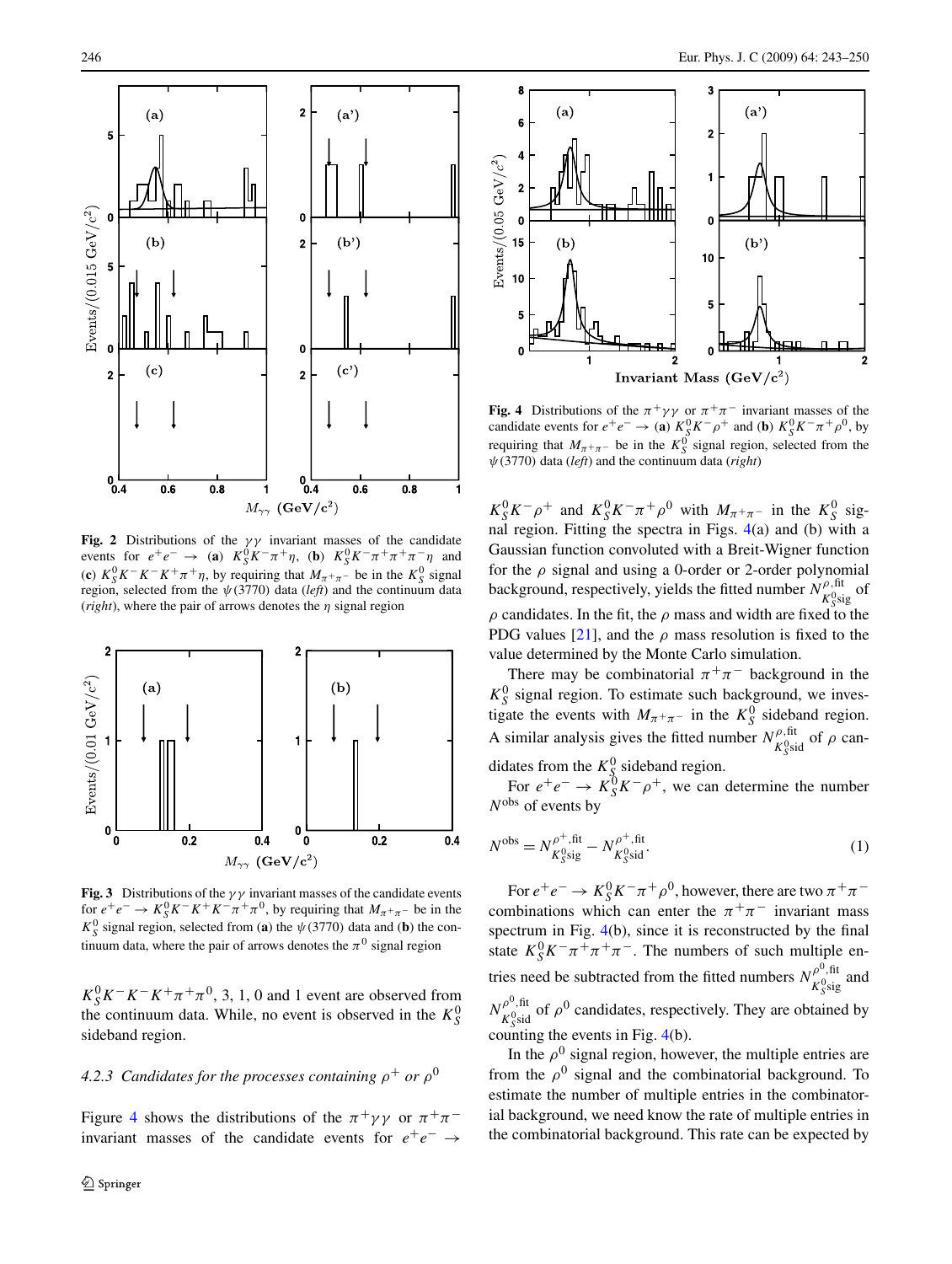<span id="page-3-0"></span>

**Fig. 2** Distributions of the *γγ* invariant masses of the candidate events for  $e^+e^- \rightarrow (\mathbf{a})$   $K_S^0 K^- \pi^+ \eta$ , (**b**)  $K_S^0 K^- \pi^+ \pi^+ \pi^- \eta$  and (**c**)  $K_S^0 K^- K^- K^+ \pi^+ \eta$ , by requiring that  $M_{\pi^+ \pi^-}$  be in the  $K_S^0$  signal region, selected from the  $\psi$ (3770) data (*left*) and the continuum data (*right*), where the pair of arrows denotes the *η* signal region



**Fig. 3** Distributions of the  $\gamma\gamma$  invariant masses of the candidate events for  $e^+e^- \to K_S^0 K^- K^+ K^- \pi^+ \pi^0$ , by requiring that  $M_{\pi^+\pi^-}$  be in the  $K_S^0$  signal region, selected from (**a**) the  $\psi$ (3770) data and (**b**) the continuum data, where the pair of arrows denotes the  $\pi^0$  signal region

 $K_S^0 K^- K^- K^+ \pi^+ \pi^0$ , 3, 1, 0 and 1 event are observed from the continuum data. While, no event is observed in the  $K_S^0$ sideband region.

## *4.2.3 Candidates for the processes containing*  $\rho^+$  *or*  $\rho^0$

Figure 4 shows the distributions of the  $\pi^+ \gamma \gamma$  or  $\pi^+ \pi^$ invariant masses of the candidate events for  $e^+e^- \rightarrow$ 



**Fig. 4** Distributions of the  $\pi^{+}\gamma\gamma$  or  $\pi^{+}\pi^{-}$  invariant masses of the candidate events for  $e^+e^- \rightarrow$  (**a**)  $K_S^0 K^- \rho^+$  and (**b**)  $K_S^0 K^- \pi^+ \rho^0$ , by requiring that  $M_{\pi^+\pi^-}$  be in the  $K_S^0$  signal region, selected from the *ψ(*3770*)* data (*left*) and the continuum data (*right*)

 $K_S^0 K^- \rho^+$  and  $K_S^0 K^- \pi^+ \rho^0$  with  $M_{\pi^+ \pi^-}$  in the  $K_S^0$  signal region. Fitting the spectra in Figs. 4(a) and (b) with a Gaussian function convoluted with a Breit-Wigner function for the  $\rho$  signal and using a 0-order or 2-order polynomial background, respectively, yields the fitted number  $N_{K_{S}^{0}\text{sig}}^{\rho,\text{fit}}$  of  $\rho$  candidates. In the fit, the  $\rho$  mass and width are fixed to the PDG values [[21\]](#page-7-0), and the  $\rho$  mass resolution is fixed to the value determined by the Monte Carlo simulation.

There may be combinatorial  $\pi^{+}\pi^{-}$  background in the  $K_S^0$  signal region. To estimate such background, we investigate the events with  $M_{\pi^+\pi^-}$  in the  $K^0_S$  sideband region. A similar analysis gives the fitted number  $N_{K_{\text{S}}^0\text{sid}}^{\rho, \text{fit}}$  of  $\rho$  candidates from the  $K^0$ <sub>S</sub> sideband region.

For  $e^+e^- \rightarrow K_S^0 K^-\rho^+$ , we can determine the number *N*obs of events by

$$
N^{\rm obs} = N_{K_{\rm S}^{\rm 0,eff}}^{\rho^+, {\rm fit}} - N_{K_{\rm S}^{\rm 0,eff}}^{\rho^+, {\rm fit}}.
$$
 (1)

For  $e^+e^- \to K_S^0 K^-\pi^+\rho^0$ , however, there are two  $\pi^+\pi^$ combinations which can enter the  $\pi^{+}\pi^{-}$  invariant mass spectrum in Fig. 4(b), since it is reconstructed by the final state  $K_S^0 K^- \pi^+ \pi^+ \pi^-$ . The numbers of such multiple entries need be subtracted from the fitted numbers  $N_{K_{S}^{0} \text{sig}}^{\rho^{0}, \text{fit}}$  and  $N_{K_{S}^{0}\text{sid}}^{\rho^{0},\text{fit}}$  of  $\rho^{0}$  candidates, respectively. They are obtained by counting the events in Fig. 4(b).

In the  $\rho^0$  signal region, however, the multiple entries are from the  $\rho^0$  signal and the combinatorial background. To estimate the number of multiple entries in the combinatorial background, we need know the rate of multiple entries in the combinatorial background. This rate can be expected by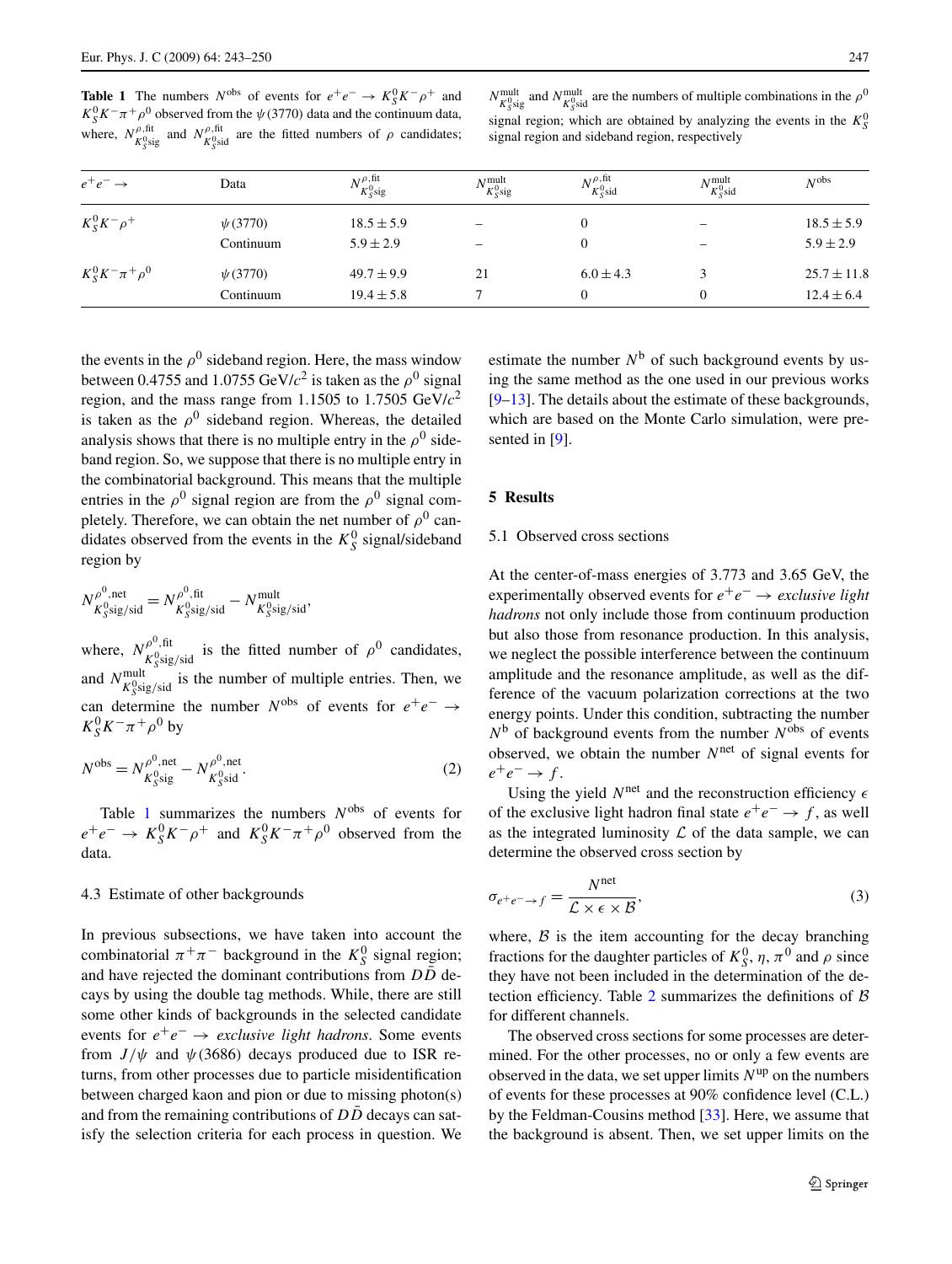<span id="page-4-0"></span>**Table 1** The numbers  $N^{obs}$  of events for  $e^+e^- \rightarrow K_S^0 K^- \rho^+$  and  $K_S^0 K^- \pi^+ \rho^0$  observed from the  $\psi$ (3770) data and the continuum data, where,  $N_{K_{S}^{0}\text{sig}}^{\rho,\text{fit}}$  and  $N_{K_{S}^{0}\text{sid}}^{\rho,\text{fit}}$  are the fitted numbers of  $\rho$  candidates;

| $N_{K_{\rm v}^{\rm eq}$ and $N_{K_{\rm v}^{\rm eq}$ are the numbers of multiple combinations in the $\rho^0$ |
|--------------------------------------------------------------------------------------------------------------|
| signal region; which are obtained by analyzing the events in the $K_s^0$                                     |
| signal region and sideband region, respectively                                                              |

| $e^+e^- \rightarrow$     | Data         | $N_{-0}^{\rho, \text{fit}}$<br>$K^0$ sig | $N^{\rm mult}$<br>$K^0_S$ sig | $N_{-0}^{\rho,fit}$<br>$K^0$ sid | $N^{\rm mult}$<br>$K^0$ sid | N <sub>obs</sub> |
|--------------------------|--------------|------------------------------------------|-------------------------------|----------------------------------|-----------------------------|------------------|
| $K_S^0 K^- \rho^+$       | $\psi(3770)$ | $18.5 \pm 5.9$                           |                               | $\mathbf{0}$                     |                             | $18.5 \pm 5.9$   |
|                          | Continuum    | $5.9 \pm 2.9$                            |                               |                                  |                             | $5.9 \pm 2.9$    |
| $K_S^0 K^- \pi^+ \rho^0$ | $\psi(3770)$ | $49.7 \pm 9.9$                           | 21                            | $6.0 \pm 4.3$                    |                             | $25.7 \pm 11.8$  |
|                          | Continuum    | $19.4 \pm 5.8$                           |                               |                                  |                             | $12.4 \pm 6.4$   |

the events in the  $\rho^0$  sideband region. Here, the mass window between 0.4755 and 1.0755 GeV/ $c^2$  is taken as the  $\rho^0$  signal region, and the mass range from 1.1505 to 1.7505 GeV/*c*<sup>2</sup> is taken as the  $\rho^0$  sideband region. Whereas, the detailed analysis shows that there is no multiple entry in the  $\rho^0$  sideband region. So, we suppose that there is no multiple entry in the combinatorial background. This means that the multiple entries in the  $\rho^0$  signal region are from the  $\rho^0$  signal completely. Therefore, we can obtain the net number of  $\rho^0$  candidates observed from the events in the  $K_S^0$  signal/sideband region by

$$
N_{K^0_S \text{sig/sid}}^{\rho^0, \text{net}} = N_{K^0_S \text{sig/sid}}^{\rho^0, \text{fit}} - N_{K^0_S \text{sig/sid}}^{\text{mult}},
$$

where,  $N_{K_{\text{S}}^0 \text{sig/sid}}^{\rho^0, \text{fit}}$  is the fitted number of  $\rho^0$  candidates, and  $N_{K_{S}^{0} \text{sig/sid}}^{\text{mult}}$  is the number of multiple entries. Then, we can determine the number  $N^{obs}$  of events for  $e^+e^- \rightarrow$  $K_S^0 K^- \pi^+ \rho^0$  by

$$
N^{\text{obs}} = N_{K_{\text{S}}^{\text{0}, \text{net}}}^{\rho^0, \text{net}} - N_{K_{\text{S}}^{\text{0}, \text{net}}}^{\rho^0, \text{net}}.
$$
 (2)

Table 1 summarizes the numbers *N*obs of events for  $e^+e^- \rightarrow K_S^0 K^-\rho^+$  and  $K_S^0 K^-\pi^+\rho^0$  observed from the data.

#### 4.3 Estimate of other backgrounds

In previous subsections, we have taken into account the combinatorial  $\pi^+\pi^-$  background in the  $K^0_S$  signal region; and have rejected the dominant contributions from  $D\bar{D}$  decays by using the double tag methods. While, there are still some other kinds of backgrounds in the selected candidate events for *e*+*e*<sup>−</sup> → *exclusive light hadrons*. Some events from  $J/\psi$  and  $\psi$ (3686) decays produced due to ISR returns, from other processes due to particle misidentification between charged kaon and pion or due to missing photon(s) and from the remaining contributions of  $D\overline{D}$  decays can satisfy the selection criteria for each process in question. We estimate the number  $N^b$  of such background events by using the same method as the one used in our previous works [\[9](#page-6-0)[–13](#page-7-0)]. The details about the estimate of these backgrounds, which are based on the Monte Carlo simulation, were presented in [\[9](#page-6-0)].

# **5 Results**

## 5.1 Observed cross sections

At the center-of-mass energies of 3.773 and 3.65 GeV, the experimentally observed events for *e*+*e*<sup>−</sup> → *exclusive light hadrons* not only include those from continuum production but also those from resonance production. In this analysis, we neglect the possible interference between the continuum amplitude and the resonance amplitude, as well as the difference of the vacuum polarization corrections at the two energy points. Under this condition, subtracting the number  $N^b$  of background events from the number  $N^{obs}$  of events observed, we obtain the number *N*net of signal events for  $e^+e^- \rightarrow f$ .

Using the yield  $N^{net}$  and the reconstruction efficiency  $\epsilon$ of the exclusive light hadron final state  $e^+e^- \rightarrow f$ , as well as the integrated luminosity  $\mathcal L$  of the data sample, we can determine the observed cross section by

$$
\sigma_{e^+e^- \to f} = \frac{N^{\text{net}}}{\mathcal{L} \times \epsilon \times \mathcal{B}},\tag{3}
$$

where,  $\beta$  is the item accounting for the decay branching fractions for the daughter particles of  $K_S^0$ ,  $\eta$ ,  $\pi^0$  and  $\rho$  since they have not been included in the determination of the de-tection efficiency. Table [2](#page-5-0) summarizes the definitions of  $\beta$ for different channels.

The observed cross sections for some processes are determined. For the other processes, no or only a few events are observed in the data, we set upper limits  $N^{\text{up}}$  on the numbers of events for these processes at 90% confidence level (C.L.) by the Feldman-Cousins method [[33\]](#page-7-0). Here, we assume that the background is absent. Then, we set upper limits on the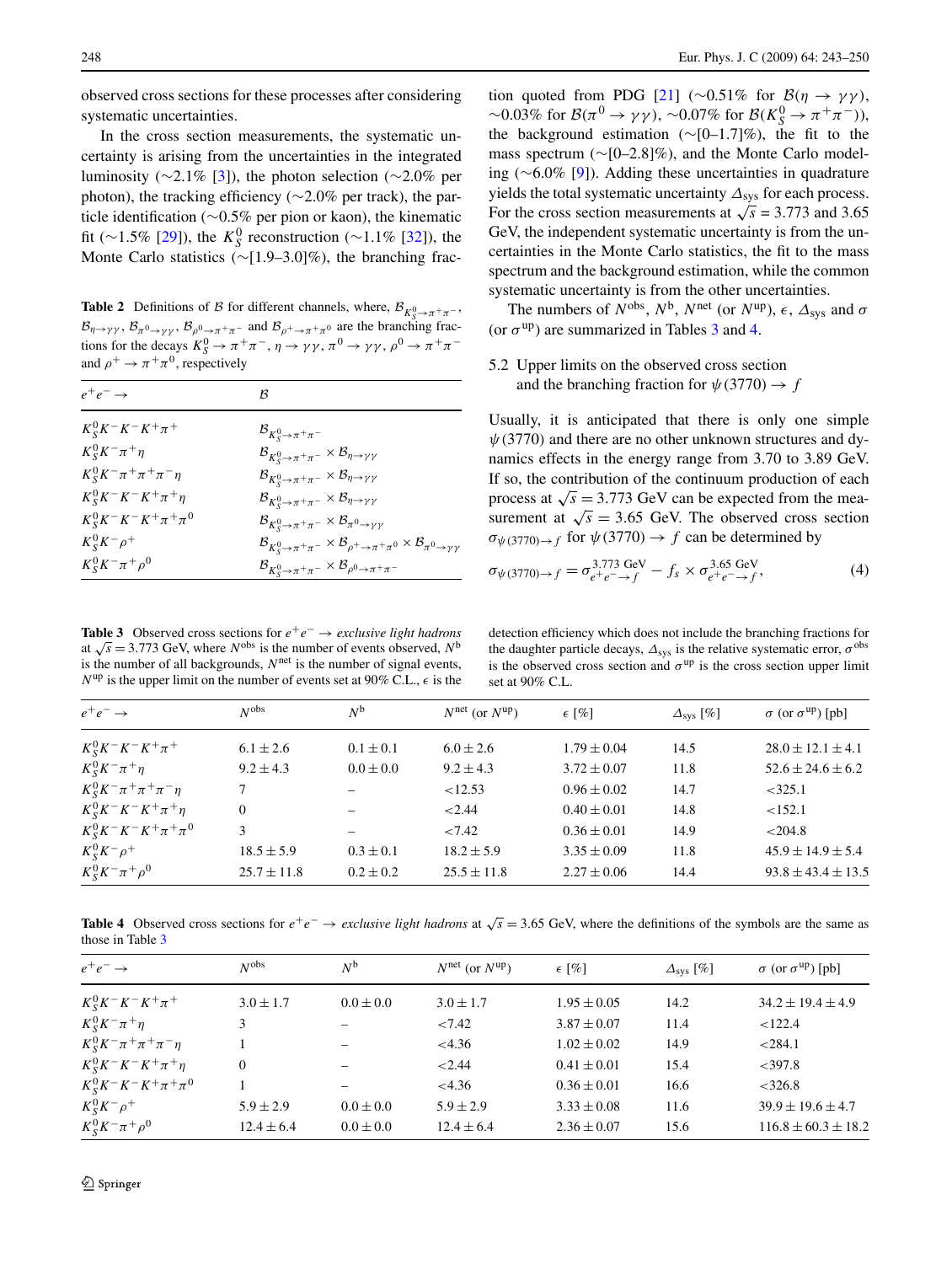<span id="page-5-0"></span>observed cross sections for these processes after considering systematic uncertainties.

In the cross section measurements, the systematic uncertainty is arising from the uncertainties in the integrated luminosity ( $\sim$ 2.1% [\[3](#page-6-0)]), the photon selection ( $\sim$ 2.0% per photon), the tracking efficiency (∼2.0% per track), the particle identification (∼0.5% per pion or kaon), the kinematic fit (∼1.5% [\[29](#page-7-0)]), the  $K_S^0$  reconstruction (∼1.1% [\[32](#page-7-0)]), the Monte Carlo statistics (∼[1.9–3.0]%), the branching frac-

**Table 2** Definitions of B for different channels, where,  $B_{K_S^0 \to \pi^+\pi^-}$ ,  $\mathcal{B}_{\eta \to \gamma\gamma}$ ,  $\mathcal{B}_{\pi^0 \to \gamma\gamma}$ ,  $\mathcal{B}_{\rho^0 \to \pi^+\pi^-}$  and  $\mathcal{B}_{\rho^+ \to \pi^+\pi^0}$  are the branching fractions for the decays  $K_S^0 \to \pi^+\pi^-$ ,  $\eta \to \gamma\gamma$ ,  $\pi^0 \to \gamma\gamma$ ,  $\rho^0 \to \pi^+\pi^$ and  $\rho^+ \rightarrow \pi^+\pi^0$ , respectively

| $e^+e^- \rightarrow$               | B                                                                                                                           |
|------------------------------------|-----------------------------------------------------------------------------------------------------------------------------|
| $K_S^0 K^- K^- K^+ \pi^+$          | $\mathcal{B}_{K_S^0 \to \pi^+\pi^-}$                                                                                        |
| $K_S^0 K^- \pi^+ \eta$             | $\mathcal{B}_{K^0_S \to \pi^+\pi^-} \times \mathcal{B}_{\eta \to \gamma\gamma}$                                             |
| $K_S^0 K^- \pi^+ \pi^+ \pi^- \eta$ | $\mathcal{B}_{K^0_S \to \pi^+\pi^-} \times \mathcal{B}_{\eta \to \gamma\gamma}$                                             |
| $K_S^0 K^- K^- K^+ \pi^+ \eta$     | $\mathcal{B}_{K^0_S \to \pi^+\pi^-} \times \mathcal{B}_{\eta \to \gamma\gamma}$                                             |
| $K_S^0 K^- K^- K^+ \pi^+ \pi^0$    | $\mathcal{B}_{K^0_S \rightarrow \pi^+\pi^-} \times \mathcal{B}_{\pi^0 \rightarrow \gamma\gamma}$                            |
| $K_S^0 K^- \rho^+$                 | $\mathcal{B}_{K^0_S \to \pi^+\pi^-} \times \mathcal{B}_{\rho^+ \to \pi^+\pi^0} \times \mathcal{B}_{\pi^0 \to \gamma\gamma}$ |
| $K_S^0 K^- \pi^+ \rho^0$           | $\mathcal{B}_{K^0_S \to \pi^+\pi^-} \times \mathcal{B}_{\rho^0 \to \pi^+\pi^-}$                                             |

**Table 3** Observed cross sections for  $e^+e^-$  → *exclusive light hadrons* at  $\sqrt{s}$  = 3.773 GeV, where *N*<sup>obs</sup> is the number of events observed, *N*<sup>b</sup> is the number of all backgrounds,  $N<sup>net</sup>$  is the number of signal events,  $N^{\text{up}}$  is the upper limit on the number of events set at 90% C.L.,  $\epsilon$  is the

tion quoted from PDG [\[21](#page-7-0)] (∼0.51% for  $\mathcal{B}(\eta \to \gamma \gamma)$ ),  $\sim$  0.03% for *B*( $\pi$ <sup>0</sup> → *γγ*),  $\sim$  0.07% for *B*( $K_S^0$  →  $\pi$ <sup>+</sup> $\pi$ <sup>−</sup>)), the background estimation ( $\sim$ [0–1.7]%), the fit to the mass spectrum (∼[0–2.8]%), and the Monte Carlo modeling (∼6.0% [[9\]](#page-6-0)). Adding these uncertainties in quadrature yields the total systematic uncertainty *Δ*sys for each process. For the cross section measurements at  $\sqrt{s}$  = 3.773 and 3.65 GeV, the independent systematic uncertainty is from the uncertainties in the Monte Carlo statistics, the fit to the mass spectrum and the background estimation, while the common systematic uncertainty is from the other uncertainties.

The numbers of  $N^{obs}$ ,  $N^{b}$ ,  $N^{net}$  (or  $N^{up}$ ),  $\epsilon$ ,  $\Delta_{sys}$  and  $\sigma$ (or  $\sigma^{up}$ ) are summarized in Tables 3 and 4.

# 5.2 Upper limits on the observed cross section and the branching fraction for  $\psi$ (3770)  $\rightarrow$  *f*

Usually, it is anticipated that there is only one simple *ψ(*3770*)* and there are no other unknown structures and dynamics effects in the energy range from 3.70 to 3.89 GeV. If so, the contribution of the continuum production of each process at  $\sqrt{s}$  = 3.773 GeV can be expected from the measurement at  $\sqrt{s}$  = 3.65 GeV. The observed cross section  $\sigma_{\psi(3770)\to f}$  for  $\psi(3770) \to f$  can be determined by

$$
\sigma_{\psi(3770)\to f} = \sigma_{e^+e^- \to f}^{3.773 \text{ GeV}} - f_s \times \sigma_{e^+e^- \to f}^{3.65 \text{ GeV}}, \tag{4}
$$

detection efficiency which does not include the branching fractions for the daughter particle decays,  $\Delta_{sys}$  is the relative systematic error,  $\sigma^{obs}$ is the observed cross section and  $\sigma^{up}$  is the cross section upper limit set at 90% C.L.

| $e^+e^- \rightarrow$               | N <sub>obs</sub> | $N^{\rm b}$     | $N^{\text{net}}$ (or $N^{\text{up}}$ ) | $\epsilon$ [%]  | $\Delta_{\rm sys}$ [%] | $\sigma$ (or $\sigma^{up}$ ) [pb] |
|------------------------------------|------------------|-----------------|----------------------------------------|-----------------|------------------------|-----------------------------------|
| $K_S^0 K^- K^- K^+ \pi^+$          | $6.1 \pm 2.6$    | $0.1 \pm 0.1$   | $6.0 \pm 2.6$                          | $1.79 \pm 0.04$ | 14.5                   | $28.0 \pm 12.1 \pm 4.1$           |
| $K_S^0 K^- \pi^+ \eta$             | $9.2 \pm 4.3$    | $0.0 \pm 0.0$   | $9.2 \pm 4.3$                          | $3.72 \pm 0.07$ | 11.8                   | $52.6 \pm 24.6 \pm 6.2$           |
| $K_S^0 K^- \pi^+ \pi^+ \pi^- \eta$ |                  |                 | < 12.53                                | $0.96 \pm 0.02$ | 14.7                   | $<$ 325.1                         |
| $K_S^0 K^- K^- K^+ \pi^+ \eta$     | $\Omega$         | $\qquad \qquad$ | < 2.44                                 | $0.40 \pm 0.01$ | 14.8                   | <152.1                            |
| $K_S^0 K^- K^- K^+ \pi^+ \pi^0$    | 3                |                 | < 7.42                                 | $0.36 \pm 0.01$ | 14.9                   | < 204.8                           |
| $K_S^0 K^- \rho^+$                 | $18.5 \pm 5.9$   | $0.3 \pm 0.1$   | $18.2 \pm 5.9$                         | $3.35 \pm 0.09$ | 11.8                   | $45.9 \pm 14.9 \pm 5.4$           |
| $K_S^0 K^- \pi^+ \rho^0$           | $25.7 \pm 11.8$  | $0.2 \pm 0.2$   | $25.5 \pm 11.8$                        | $2.27 \pm 0.06$ | 14.4                   | $93.8 \pm 43.4 \pm 13.5$          |

**Table 4** Observed cross sections for  $e^+e^- \rightarrow$  *exclusive light hadrons* at  $\sqrt{s} = 3.65$  GeV, where the definitions of the symbols are the same as those in Table 3

| $e^+e^- \rightarrow$               | N <sub>obs</sub> | $N^{\rm b}$   | $N^{\text{net}}$ (or $N^{\text{up}}$ ) | $\epsilon$ [%]  | $\Delta_{sys}$ [%] | $\sigma$ (or $\sigma^{up}$ ) [pb] |
|------------------------------------|------------------|---------------|----------------------------------------|-----------------|--------------------|-----------------------------------|
| $K_S^0 K^- K^- K^+ \pi^+$          | $3.0 \pm 1.7$    | $0.0 \pm 0.0$ | $3.0 \pm 1.7$                          | $1.95 \pm 0.05$ | 14.2               | $34.2 \pm 19.4 \pm 4.9$           |
| $K_S^0 K^- \pi^+ \eta$             |                  |               | < 7.42                                 | $3.87 \pm 0.07$ | 11.4               | < 122.4                           |
| $K_S^0 K^- \pi^+ \pi^+ \pi^- \eta$ |                  |               | <4.36                                  | $1.02 \pm 0.02$ | 14.9               | < 284.1                           |
| $K_S^0 K^- K^- K^+ \pi^+ \eta$     | $\Omega$         |               | < 2.44                                 | $0.41 \pm 0.01$ | 15.4               | <397.8                            |
| $K_S^0 K^- K^- K^+ \pi^+ \pi^0$    |                  |               | <4.36                                  | $0.36 \pm 0.01$ | 16.6               | $<$ 326.8                         |
| $K_S^0 K^- \rho^+$                 | $5.9 \pm 2.9$    | $0.0 \pm 0.0$ | $5.9 \pm 2.9$                          | $3.33 \pm 0.08$ | 11.6               | $39.9 \pm 19.6 \pm 4.7$           |
| $K_S^0 K^- \pi^+ \rho^0$           | $12.4 \pm 6.4$   | $0.0 \pm 0.0$ | $12.4 \pm 6.4$                         | $2.36 \pm 0.07$ | 15.6               | $116.8 \pm 60.3 \pm 18.2$         |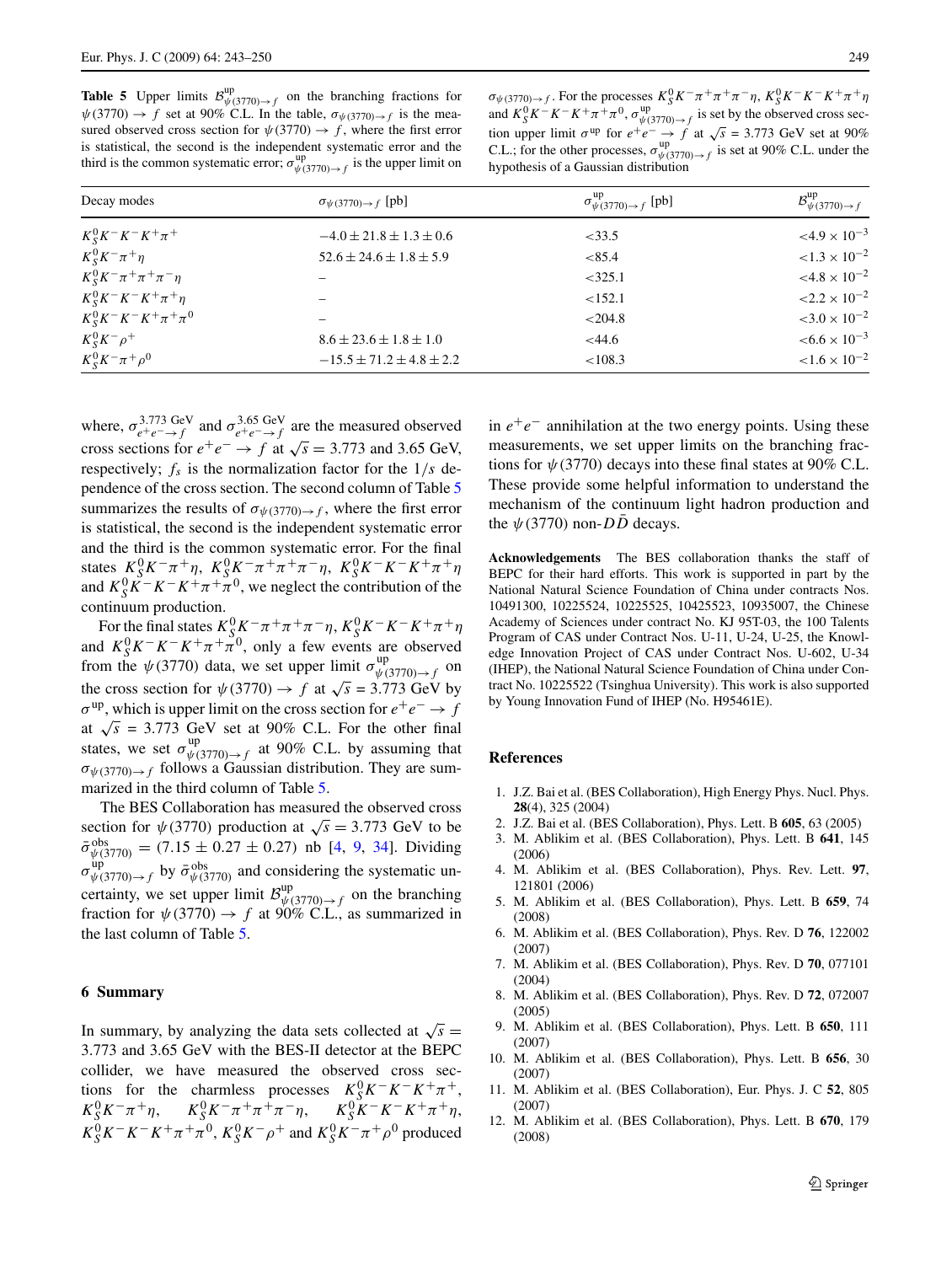<span id="page-6-0"></span>**Table 5** Upper limits  $\mathcal{B}_{\psi(3770)\to f}^{\text{up}}$  on the branching fractions for  $\psi$ (3770)  $\rightarrow$  *f* set at 90% C.L. In the table,  $\sigma_{\psi(3770)\rightarrow f}$  is the measured observed cross section for  $\psi(3770) \rightarrow f$ , where the first error is statistical, the second is the independent systematic error and the third is the common systematic error;  $\sigma_{\psi(3770)\to f}^{\text{up}}$  is the upper limit on

 $\sigma_{\psi(3770)\to f}$ . For the processes  $K_S^0 K^-\pi^+\pi^+\pi^-\eta$ ,  $K_S^0 K^-K^-K^+\pi^+\eta$ and  $K_S^0 K^- K^- K^+ \pi^+ \pi^0$ ,  $\sigma_{\psi(3770)\to f}^{\text{up}}$  is set by the observed cross section upper limit  $\sigma^{\text{up}}$  for  $e^+e^- \to f$  at  $\sqrt{s} = 3.773$  GeV set at 90% C.L.; for the other processes,  $\sigma_{\psi(3770)\to f}^{\text{up}}$  is set at 90% C.L. under the hypothesis of a Gaussian distribution

| Decay modes                        | $\sigma_{\psi(3770)\to f}$ [pb]  | $\sigma_{\psi(3770)\to f}^{\text{up}}$ [pb] | $\mathcal{B}_{\psi(3770)\to f}^{\text{up}}$ |  |
|------------------------------------|----------------------------------|---------------------------------------------|---------------------------------------------|--|
| $K_S^0 K^- K^- K^+ \pi^+$          | $-4.0 \pm 21.8 \pm 1.3 \pm 0.6$  | $<$ 33.5                                    | $<4.9\times10^{-3}$                         |  |
| $K_S^0 K^- \pi^+ \eta$             | $52.6 \pm 24.6 \pm 1.8 \pm 5.9$  | < 85.4                                      | ${<}1.3 \times 10^{-2}$                     |  |
| $K_S^0 K^- \pi^+ \pi^+ \pi^- \eta$ |                                  | $<$ 325.1                                   | $< 4.8 \times 10^{-2}$                      |  |
| $K_S^0 K^- K^- K^+ \pi^+ \eta$     |                                  | <152.1                                      | ${<}2.2 \times 10^{-2}$                     |  |
| $K_S^0 K^- K^- K^+ \pi^+ \pi^0$    |                                  | < 204.8                                     | $<$ 3.0 $\times$ 10 <sup>-2</sup>           |  |
| $K_S^0 K^- \rho^+$                 | $8.6 \pm 23.6 \pm 1.8 \pm 1.0$   | <44.6                                       | $< 6.6 \times 10^{-3}$                      |  |
| $K_S^0 K^- \pi^+ \rho^0$           | $-15.5 \pm 71.2 \pm 4.8 \pm 2.2$ | < 108.3                                     | ${1.6 \times 10^{-2}}$                      |  |

where,  $\sigma_{e^+e^- \to f}^{3.773 \text{ GeV}}$  and  $\sigma_{e^+e^- \to f}^{3.65 \text{ GeV}}$  are the measured observed cross sections for  $e^+e^- \rightarrow f$  at  $\sqrt{s} = 3.773$  and 3.65 GeV, respectively;  $f_s$  is the normalization factor for the  $1/s$  dependence of the cross section. The second column of Table 5 summarizes the results of  $\sigma_{\psi(3770)\to f}$ , where the first error is statistical, the second is the independent systematic error and the third is the common systematic error. For the final states  $K_S^0 K^- \pi^+ \eta$ ,  $K_S^0 K^- \pi^+ \pi^+ \pi^- \eta$ ,  $K_S^0 K^- K^- K^+ \pi^+ \eta$ and  $K_S^0 K^- K^+ \pi^+ \pi^0$ , we neglect the contribution of the continuum production.

For the final states  $K_S^0 K^- \pi^+ \pi^+ \pi^- \eta$ ,  $K_S^0 K^- K^- K^+ \pi^+ \eta$ and  $K_S^0 K^- K^- K^+ \pi^+ \pi^0$ , only a few events are observed from the  $\psi$ (3770) data, we set upper limit  $\sigma_{\psi(3770)\to f}^{\text{up}}$  on the cross section for  $\psi$ (3770)  $\rightarrow$  *f* at  $\sqrt{s}$  = 3.773 GeV by  $\sigma^{up}$ , which is upper limit on the cross section for  $e^+e^- \rightarrow f$ at  $\sqrt{s}$  = 3.773 GeV set at 90% C.L. For the other final states, we set  $\sigma_{\psi(3770)\to f}^{\text{up}}$  at 90% C.L. by assuming that  $\sigma_{\psi(3770)\to f}$  follows a Gaussian distribution. They are summarized in the third column of Table 5.

The BES Collaboration has measured the observed cross section for  $\psi$ (3770) production at  $\sqrt{s}$  = 3.773 GeV to be  $\bar{\sigma}_{\psi(3770)}^{\text{obs}} = (7.15 \pm 0.27 \pm 0.27)$  nb [4, 9, [34](#page-7-0)]. Dividing  $\sigma_{\psi(3770)\to f}^{\text{up}}$  by  $\bar{\sigma}_{\psi(3770)}^{\text{obs}}$  and considering the systematic uncertainty, we set upper limit  $\mathcal{B}_{\psi(3770)\to f}^{\text{up}}$  on the branching fraction for  $\psi$ (3770)  $\rightarrow$  *f* at 90% C.L., as summarized in the last column of Table 5.

#### **6 Summary**

In summary, by analyzing the data sets collected at  $\sqrt{s}$  = 3.773 and 3.65 GeV with the BES-II detector at the BEPC collider, we have measured the observed cross sections for the charmless processes  $K_S^0 K^- K^+ \pi^+$ ,  $K_S^0 K^- \pi^+ \eta$ ,  $K_S^0 K^- \pi^+ \pi^+ \pi^- \eta$ ,  $K_S^0 K^- K^- K^+ \pi^+ \eta$ ,  $K_S^0 K^- K^- K^+ \pi^+ \pi^0$ ,  $K_S^0 K^- \rho^+$  and  $K_S^0 K^- \pi^+ \rho^0$  produced

in  $e^+e^-$  annihilation at the two energy points. Using these measurements, we set upper limits on the branching fractions for  $\psi$ (3770) decays into these final states at 90% C.L. These provide some helpful information to understand the mechanism of the continuum light hadron production and the  $\psi$ (3770) non- $D\overline{D}$  decays.

**Acknowledgements** The BES collaboration thanks the staff of BEPC for their hard efforts. This work is supported in part by the National Natural Science Foundation of China under contracts Nos. 10491300, 10225524, 10225525, 10425523, 10935007, the Chinese Academy of Sciences under contract No. KJ 95T-03, the 100 Talents Program of CAS under Contract Nos. U-11, U-24, U-25, the Knowledge Innovation Project of CAS under Contract Nos. U-602, U-34 (IHEP), the National Natural Science Foundation of China under Contract No. 10225522 (Tsinghua University). This work is also supported by Young Innovation Fund of IHEP (No. H95461E).

#### **References**

- 1. J.Z. Bai et al. (BES Collaboration), High Energy Phys. Nucl. Phys. **28**(4), 325 (2004)
- 2. J.Z. Bai et al. (BES Collaboration), Phys. Lett. B **605**, 63 (2005)
- 3. M. Ablikim et al. (BES Collaboration), Phys. Lett. B **641**, 145 (2006)
- 4. M. Ablikim et al. (BES Collaboration), Phys. Rev. Lett. **97**, 121801 (2006)
- 5. M. Ablikim et al. (BES Collaboration), Phys. Lett. B **659**, 74 (2008)
- 6. M. Ablikim et al. (BES Collaboration), Phys. Rev. D **76**, 122002 (2007)
- 7. M. Ablikim et al. (BES Collaboration), Phys. Rev. D **70**, 077101 (2004)
- 8. M. Ablikim et al. (BES Collaboration), Phys. Rev. D **72**, 072007 (2005)
- 9. M. Ablikim et al. (BES Collaboration), Phys. Lett. B **650**, 111 (2007)
- 10. M. Ablikim et al. (BES Collaboration), Phys. Lett. B **656**, 30 (2007)
- 11. M. Ablikim et al. (BES Collaboration), Eur. Phys. J. C **52**, 805 (2007)
- 12. M. Ablikim et al. (BES Collaboration), Phys. Lett. B **670**, 179 (2008)